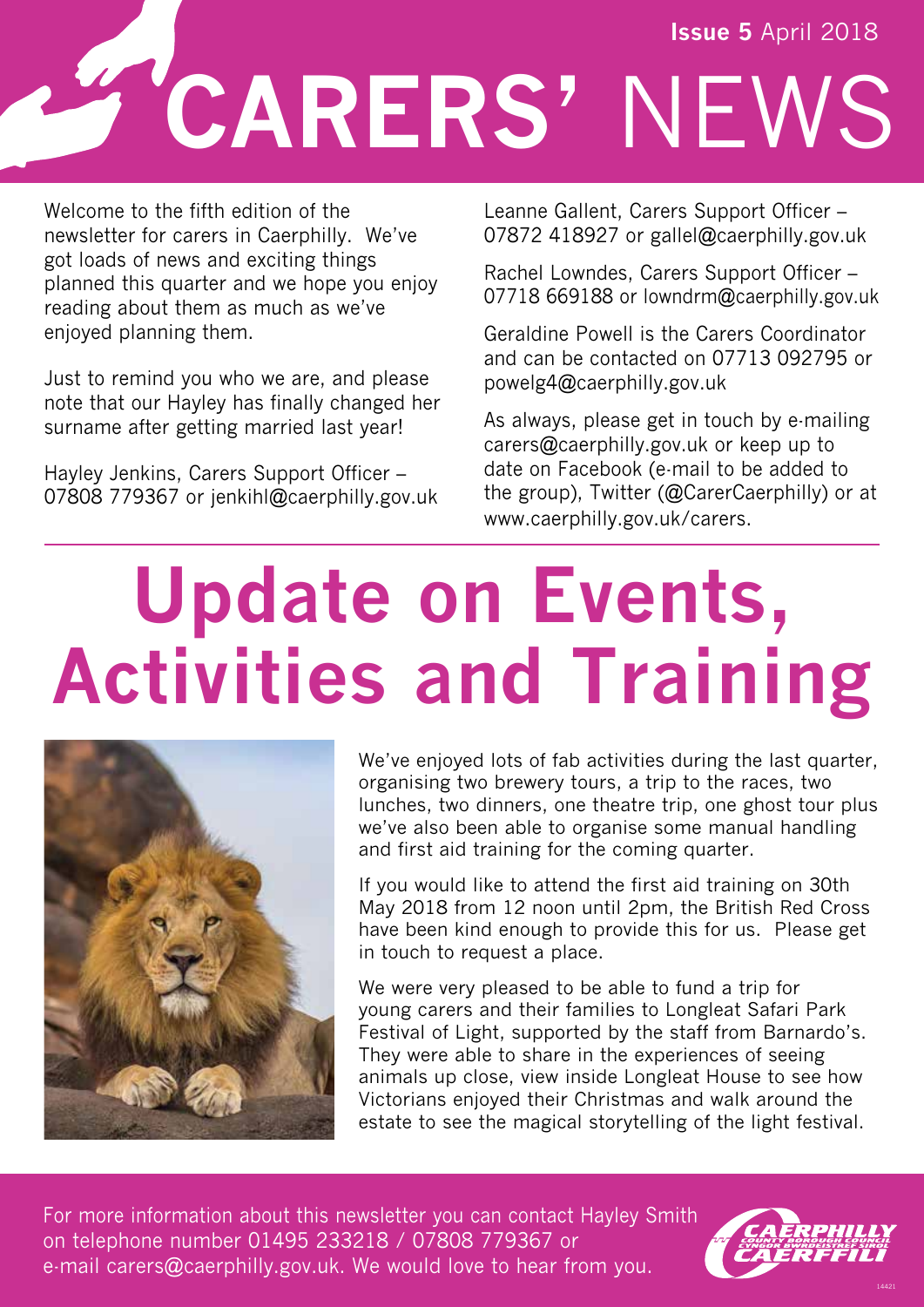# **CARERS'** NEWS **Issue 5** April 2018

Welcome to the fifth edition of the newsletter for carers in Caerphilly. We've got loads of news and exciting things planned this quarter and we hope you enjoy reading about them as much as we've enjoyed planning them.

Just to remind you who we are, and please note that our Hayley has finally changed her surname after getting married last year!

Hayley Jenkins, Carers Support Officer – 07808 779367 or jenkihl@caerphilly.gov.uk Leanne Gallent, Carers Support Officer – 07872 418927 or gallel@caerphilly.gov.uk

Rachel Lowndes, Carers Support Officer – 07718 669188 or lowndrm@caerphilly.gov.uk

Geraldine Powell is the Carers Coordinator and can be contacted on 07713 092795 or powelg4@caerphilly.gov.uk

As always, please get in touch by e-mailing carers@caerphilly.gov.uk or keep up to date on Facebook (e-mail to be added to the group), Twitter (@CarerCaerphilly) or at www.caerphilly.gov.uk/carers.

# **Update on Events, Activities and Training**



We've enjoyed lots of fab activities during the last quarter, organising two brewery tours, a trip to the races, two lunches, two dinners, one theatre trip, one ghost tour plus we've also been able to organise some manual handling and first aid training for the coming quarter.

If you would like to attend the first aid training on 30th May 2018 from 12 noon until 2pm, the British Red Cross have been kind enough to provide this for us. Please get in touch to request a place.

We were very pleased to be able to fund a trip for young carers and their families to Longleat Safari Park Festival of Light, supported by the staff from Barnardo's. They were able to share in the experiences of seeing animals up close, view inside Longleat House to see how Victorians enjoyed their Christmas and walk around the estate to see the magical storytelling of the light festival.

For more information about this newsletter you can contact Hayley Smith on telephone number 01495 233218 / 07808 779367 or e-mail carers@caerphilly.gov.uk. We would love to hear from you.



14421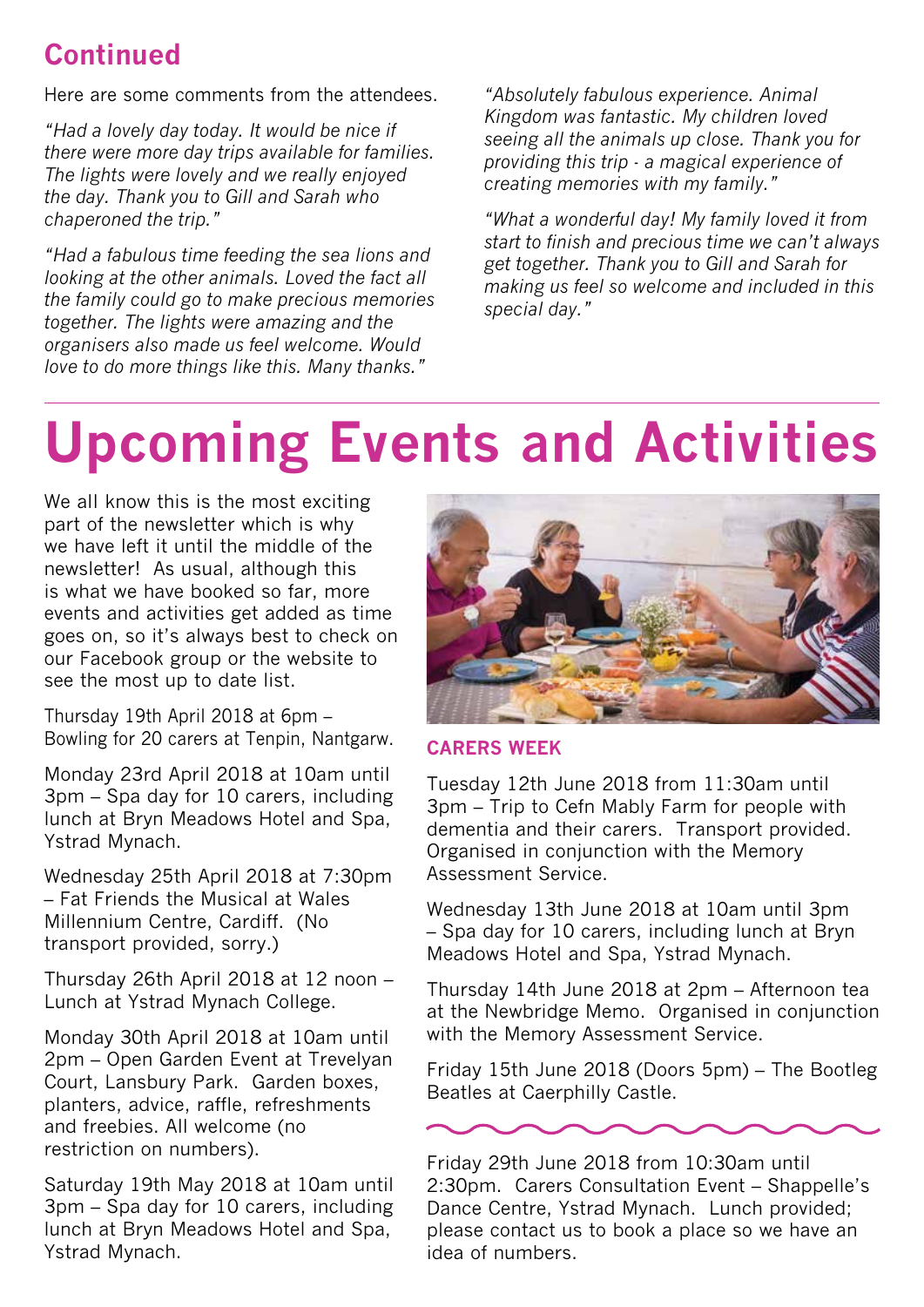### **Continued**

Here are some comments from the attendees.

*"Had a lovely day today. It would be nice if there were more day trips available for families. The lights were lovely and we really enjoyed the day. Thank you to Gill and Sarah who chaperoned the trip."* 

*"Had a fabulous time feeding the sea lions and looking at the other animals. Loved the fact all the family could go to make precious memories together. The lights were amazing and the organisers also made us feel welcome. Would love to do more things like this. Many thanks."*

*"Absolutely fabulous experience. Animal Kingdom was fantastic. My children loved seeing all the animals up close. Thank you for providing this trip - a magical experience of creating memories with my family."*

*"What a wonderful day! My family loved it from start to finish and precious time we can't always get together. Thank you to Gill and Sarah for making us feel so welcome and included in this special day."*

### **Upcoming Events and Activities**

We all know this is the most exciting part of the newsletter which is why we have left it until the middle of the newsletter! As usual, although this is what we have booked so far, more events and activities get added as time goes on, so it's always best to check on our Facebook group or the website to see the most up to date list.

Thursday 19th April 2018 at 6pm – Bowling for 20 carers at Tenpin, Nantgarw.

Monday 23rd April 2018 at 10am until 3pm – Spa day for 10 carers, including lunch at Bryn Meadows Hotel and Spa, Ystrad Mynach.

Wednesday 25th April 2018 at 7:30pm – Fat Friends the Musical at Wales Millennium Centre, Cardiff. (No transport provided, sorry.)

Thursday 26th April 2018 at 12 noon – Lunch at Ystrad Mynach College.

Monday 30th April 2018 at 10am until 2pm – Open Garden Event at Trevelyan Court, Lansbury Park. Garden boxes, planters, advice, raffle, refreshments and freebies. All welcome (no restriction on numbers).

Saturday 19th May 2018 at 10am until 3pm – Spa day for 10 carers, including lunch at Bryn Meadows Hotel and Spa, Ystrad Mynach.



#### **CARERS WEEK**

Tuesday 12th June 2018 from 11:30am until 3pm – Trip to Cefn Mably Farm for people with dementia and their carers. Transport provided. Organised in conjunction with the Memory Assessment Service.

Wednesday 13th June 2018 at 10am until 3pm – Spa day for 10 carers, including lunch at Bryn Meadows Hotel and Spa, Ystrad Mynach.

Thursday 14th June 2018 at 2pm – Afternoon tea at the Newbridge Memo. Organised in conjunction with the Memory Assessment Service.

Friday 15th June 2018 (Doors 5pm) – The Bootleg Beatles at Caerphilly Castle.



Friday 29th June 2018 from 10:30am until 2:30pm. Carers Consultation Event – Shappelle's Dance Centre, Ystrad Mynach. Lunch provided; please contact us to book a place so we have an idea of numbers.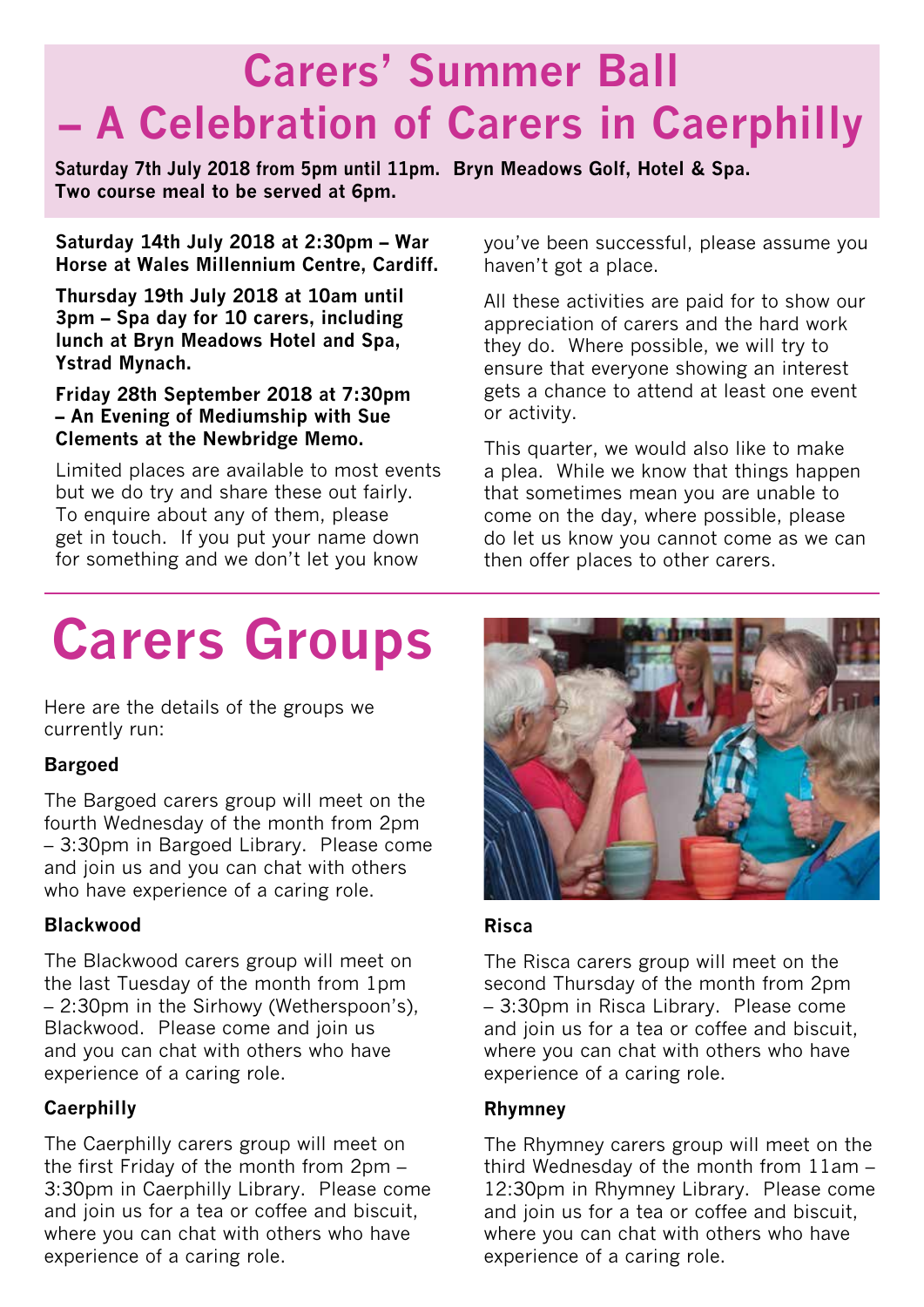### **Carers' Summer Ball – A Celebration of Carers in Caerphilly**

**Saturday 7th July 2018 from 5pm until 11pm. Bryn Meadows Golf, Hotel & Spa. Two course meal to be served at 6pm.**

**Saturday 14th July 2018 at 2:30pm – War Horse at Wales Millennium Centre, Cardiff.**

**Thursday 19th July 2018 at 10am until 3pm – Spa day for 10 carers, including lunch at Bryn Meadows Hotel and Spa, Ystrad Mynach.**

**Friday 28th September 2018 at 7:30pm – An Evening of Mediumship with Sue Clements at the Newbridge Memo.**

Limited places are available to most events but we do try and share these out fairly. To enquire about any of them, please get in touch. If you put your name down for something and we don't let you know

you've been successful, please assume you haven't got a place.

All these activities are paid for to show our appreciation of carers and the hard work they do. Where possible, we will try to ensure that everyone showing an interest gets a chance to attend at least one event or activity.

This quarter, we would also like to make a plea. While we know that things happen that sometimes mean you are unable to come on the day, where possible, please do let us know you cannot come as we can then offer places to other carers.

### **Carers Groups**

Here are the details of the groups we currently run:

#### **Bargoed**

The Bargoed carers group will meet on the fourth Wednesday of the month from 2pm – 3:30pm in Bargoed Library. Please come and join us and you can chat with others who have experience of a caring role.

#### **Blackwood**

The Blackwood carers group will meet on the last Tuesday of the month from 1pm – 2:30pm in the Sirhowy (Wetherspoon's), Blackwood. Please come and join us and you can chat with others who have experience of a caring role.

#### **Caerphilly**

The Caerphilly carers group will meet on the first Friday of the month from 2pm – 3:30pm in Caerphilly Library. Please come and join us for a tea or coffee and biscuit, where you can chat with others who have experience of a caring role.



#### **Risca**

The Risca carers group will meet on the second Thursday of the month from 2pm – 3:30pm in Risca Library. Please come and join us for a tea or coffee and biscuit, where you can chat with others who have experience of a caring role.

#### **Rhymney**

The Rhymney carers group will meet on the third Wednesday of the month from 11am – 12:30pm in Rhymney Library. Please come and join us for a tea or coffee and biscuit, where you can chat with others who have experience of a caring role.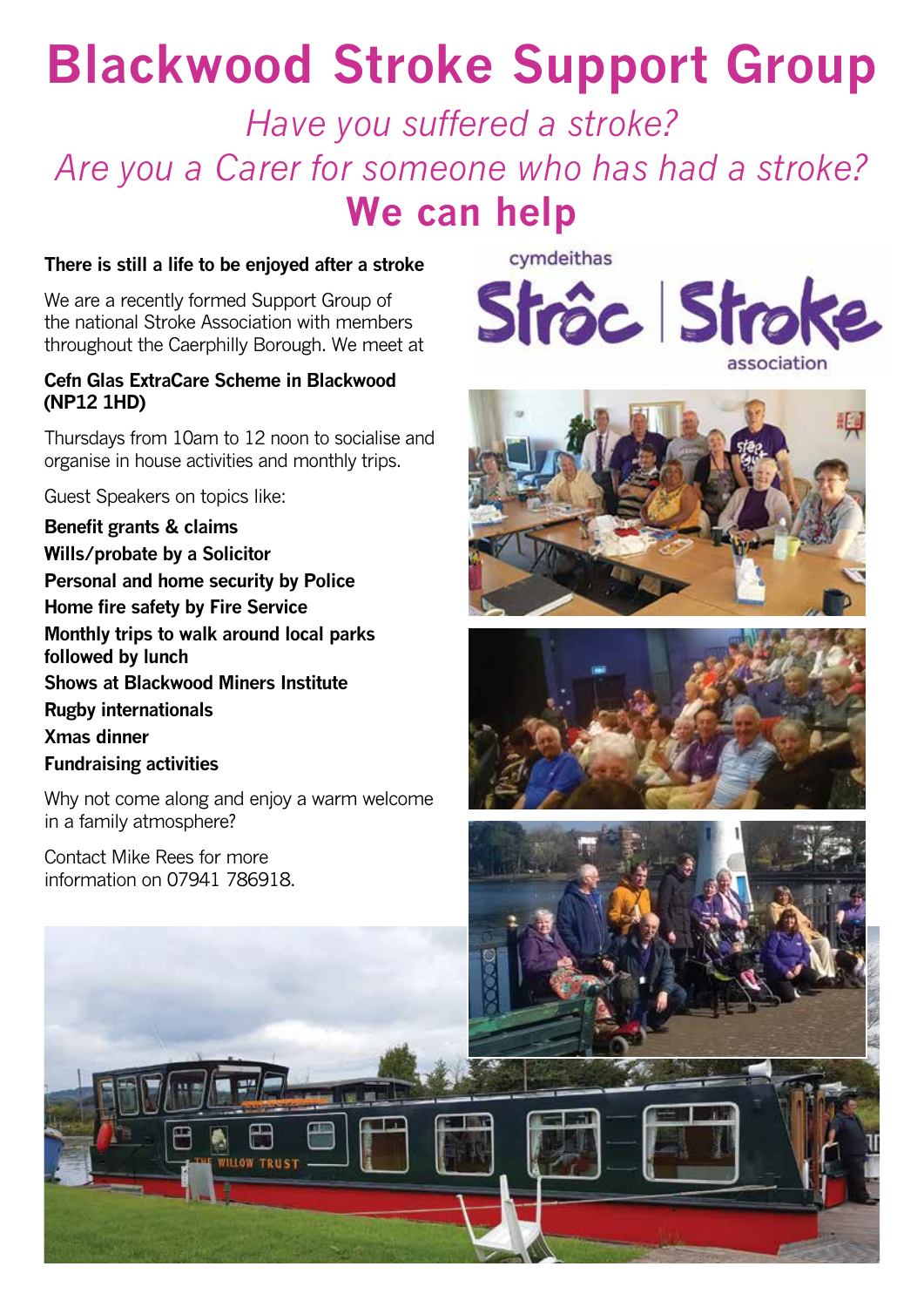### **Blackwood Stroke Support Group**

*Have you suffered a stroke? Are you a Carer for someone who has had a stroke?* **We can help**

#### **There is still a life to be enjoyed after a stroke**

We are a recently formed Support Group of the national Stroke Association with members throughout the Caerphilly Borough. We meet at

#### **Cefn Glas ExtraCare Scheme in Blackwood (NP12 1HD)**

Thursdays from 10am to 12 noon to socialise and organise in house activities and monthly trips.

Guest Speakers on topics like:

**Benefit grants & claims Wills/probate by a Solicitor Personal and home security by Police Home fire safety by Fire Service Monthly trips to walk around local parks followed by lunch Shows at Blackwood Miners Institute Rugby internationals Xmas dinner Fundraising activities**

Why not come along and enjoy a warm welcome in a family atmosphere?

Contact Mike Rees for more information on 07941 786918. cymdeithas







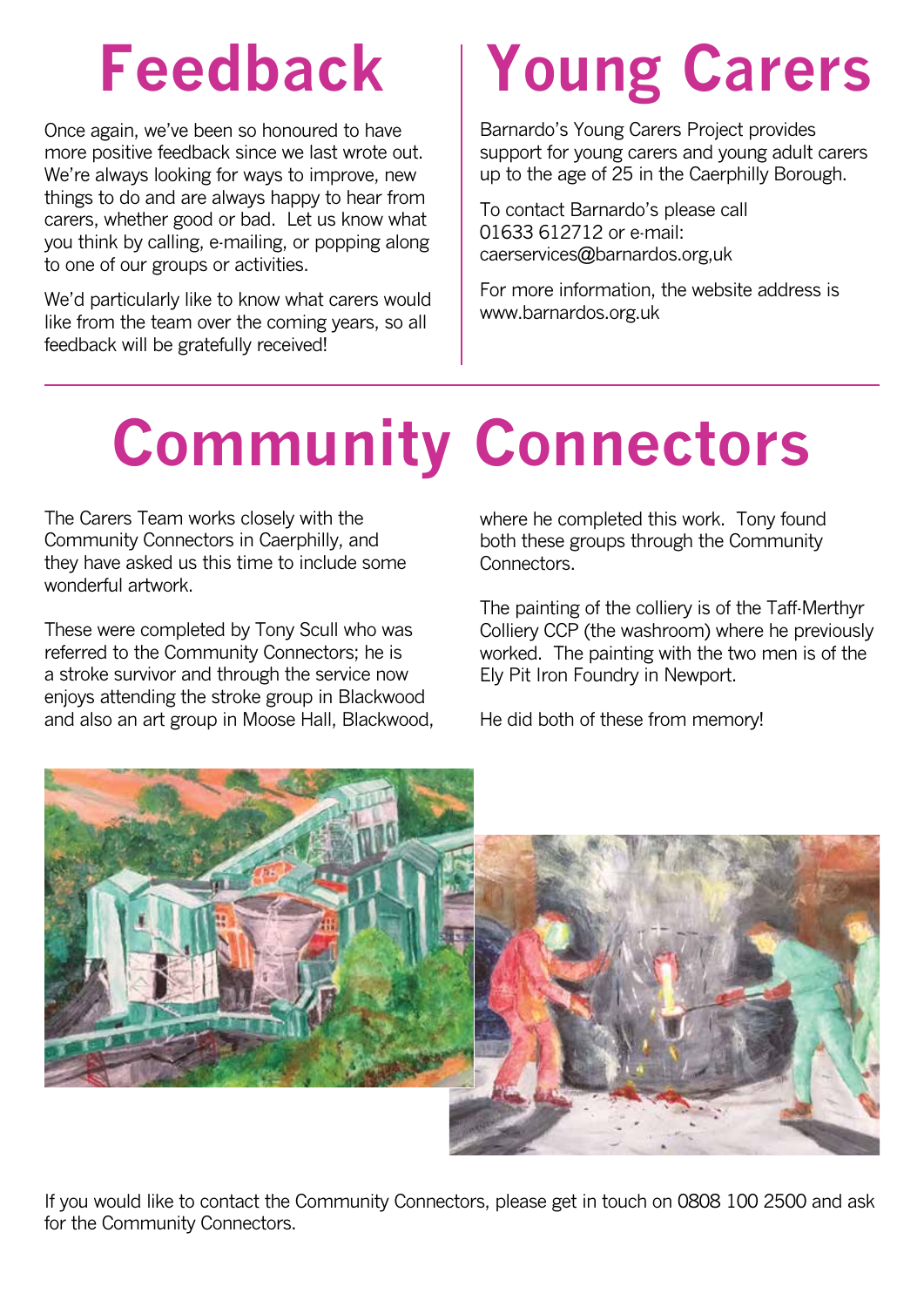## **Feedback**

Once again, we've been so honoured to have more positive feedback since we last wrote out. We're always looking for ways to improve, new things to do and are always happy to hear from carers, whether good or bad. Let us know what you think by calling, e-mailing, or popping along to one of our groups or activities.

We'd particularly like to know what carers would like from the team over the coming years, so all feedback will be gratefully received!

# **Young Carers**

Barnardo's Young Carers Project provides support for young carers and young adult carers up to the age of 25 in the Caerphilly Borough.

To contact Barnardo's please call 01633 612712 or e-mail: caerservices@barnardos.org,uk

For more information, the website address is www.barnardos.org.uk

# **Community Connectors**

The Carers Team works closely with the Community Connectors in Caerphilly, and they have asked us this time to include some wonderful artwork.

These were completed by Tony Scull who was referred to the Community Connectors; he is a stroke survivor and through the service now enjoys attending the stroke group in Blackwood and also an art group in Moose Hall, Blackwood, where he completed this work. Tony found both these groups through the Community **Connectors** 

The painting of the colliery is of the Taff-Merthyr Colliery CCP (the washroom) where he previously worked. The painting with the two men is of the Ely Pit Iron Foundry in Newport.

He did both of these from memory!



If you would like to contact the Community Connectors, please get in touch on 0808 100 2500 and ask for the Community Connectors.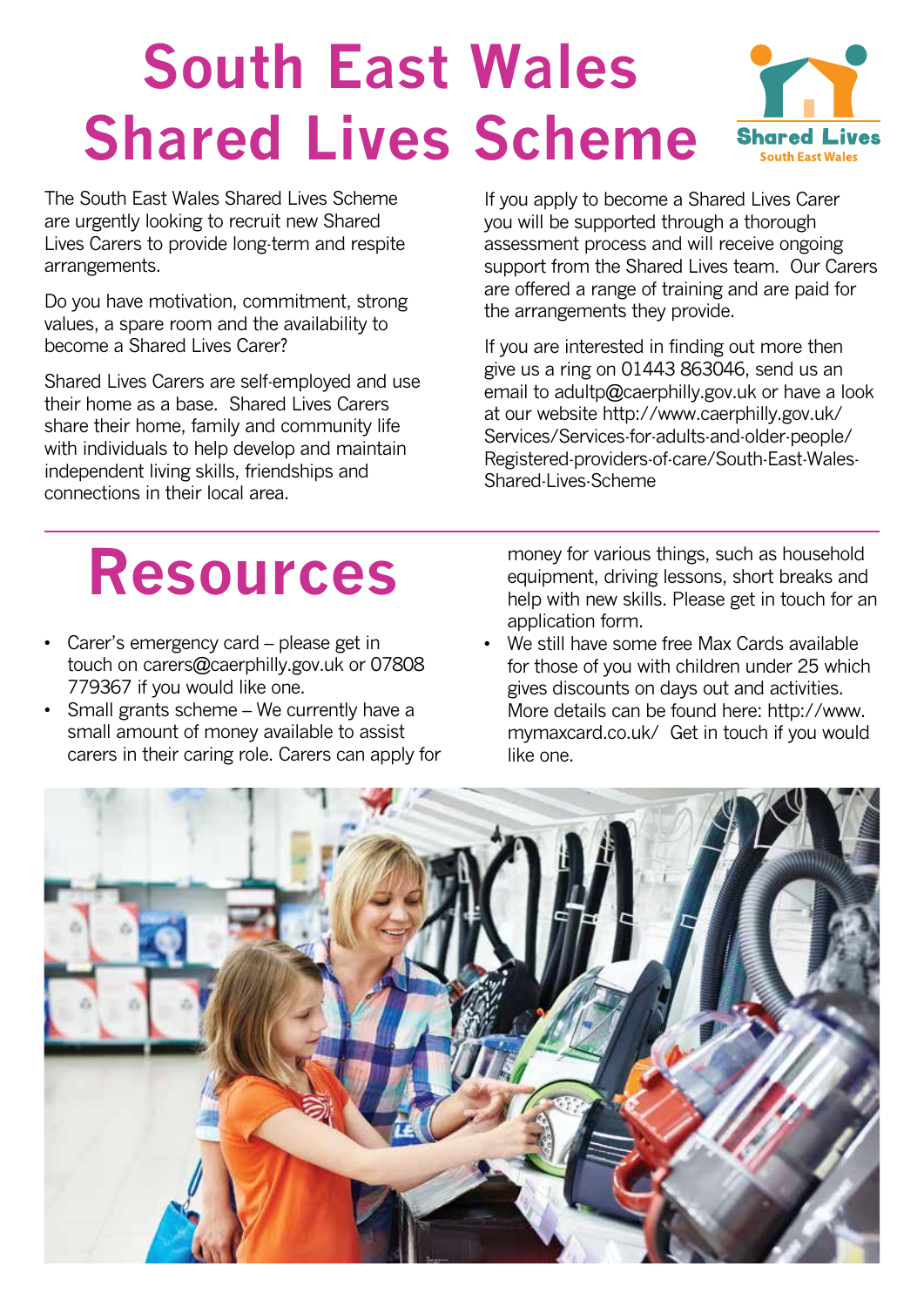## **South East Wales Shared Lives Scheme**

The South East Wales Shared Lives Scheme are urgently looking to recruit new Shared Lives Carers to provide long-term and respite arrangements.

Do you have motivation, commitment, strong values, a spare room and the availability to become a Shared Lives Carer?

Shared Lives Carers are self-employed and use their home as a base. Shared Lives Carers share their home, family and community life with individuals to help develop and maintain independent living skills, friendships and connections in their local area.



**Shared L** 

**South East Wales** 

If you are interested in finding out more then give us a ring on 01443 863046, send us an email to adultp@caerphilly.gov.uk or have a look at our website http://www.caerphilly.gov.uk/ Services/Services-for-adults-and-older-people/ Registered-providers-of-care/South-East-Wales-Shared-Lives-Scheme

## **Resources**

- Carer's emergency card please get in touch on carers@caerphilly.gov.uk or 07808 779367 if you would like one.
- Small grants scheme We currently have a small amount of money available to assist carers in their caring role. Carers can apply for

money for various things, such as household equipment, driving lessons, short breaks and help with new skills. Please get in touch for an application form.

• We still have some free Max Cards available for those of you with children under 25 which gives discounts on days out and activities. More details can be found here: http://www. mymaxcard.co.uk/ Get in touch if you would like one.

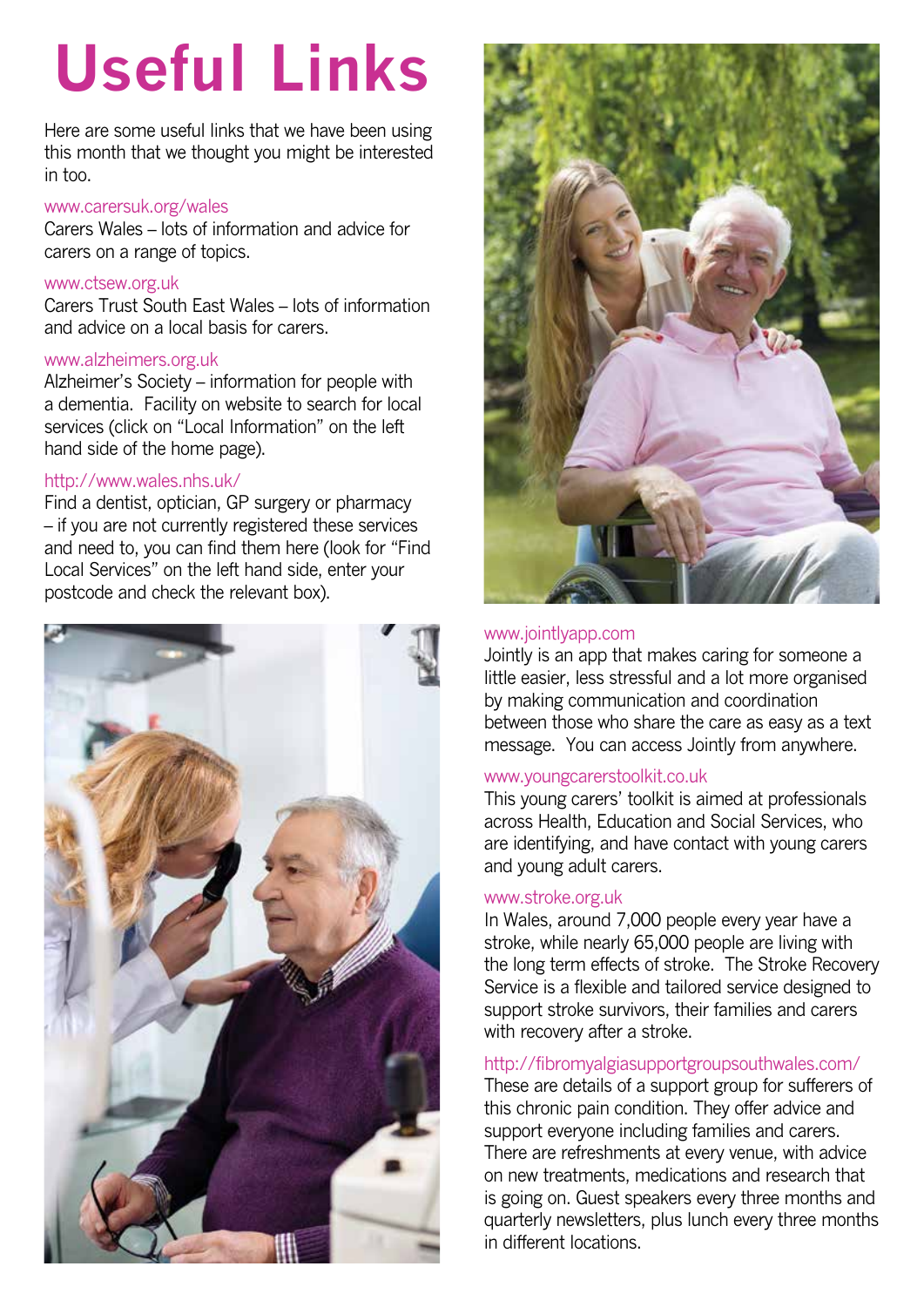# **Useful Links**

Here are some useful links that we have been using this month that we thought you might be interested in too.

#### www.carersuk.org/wales

Carers Wales – lots of information and advice for carers on a range of topics.

#### www.ctsew.org.uk

Carers Trust South East Wales – lots of information and advice on a local basis for carers.

#### www.alzheimers.org.uk

Alzheimer's Society – information for people with a dementia. Facility on website to search for local services (click on "Local Information" on the left hand side of the home page).

#### http://www.wales.nhs.uk/

Find a dentist, optician, GP surgery or pharmacy – if you are not currently registered these services and need to, you can find them here (look for "Find Local Services" on the left hand side, enter your postcode and check the relevant box).





#### www.jointlyapp.com

Jointly is an app that makes caring for someone a little easier, less stressful and a lot more organised by making communication and coordination between those who share the care as easy as a text message. You can access Jointly from anywhere.

#### www.youngcarerstoolkit.co.uk

This young carers' toolkit is aimed at professionals across Health, Education and Social Services, who are identifying, and have contact with young carers and young adult carers.

#### www.stroke.org.uk

In Wales, around 7,000 people every year have a stroke, while nearly 65,000 people are living with the long term effects of stroke. The Stroke Recovery Service is a flexible and tailored service designed to support stroke survivors, their families and carers with recovery after a stroke.

#### http://fibromyalgiasupportgroupsouthwales.com/

These are details of a support group for sufferers of this chronic pain condition. They offer advice and support everyone including families and carers. There are refreshments at every venue, with advice on new treatments, medications and research that is going on. Guest speakers every three months and quarterly newsletters, plus lunch every three months in different locations.